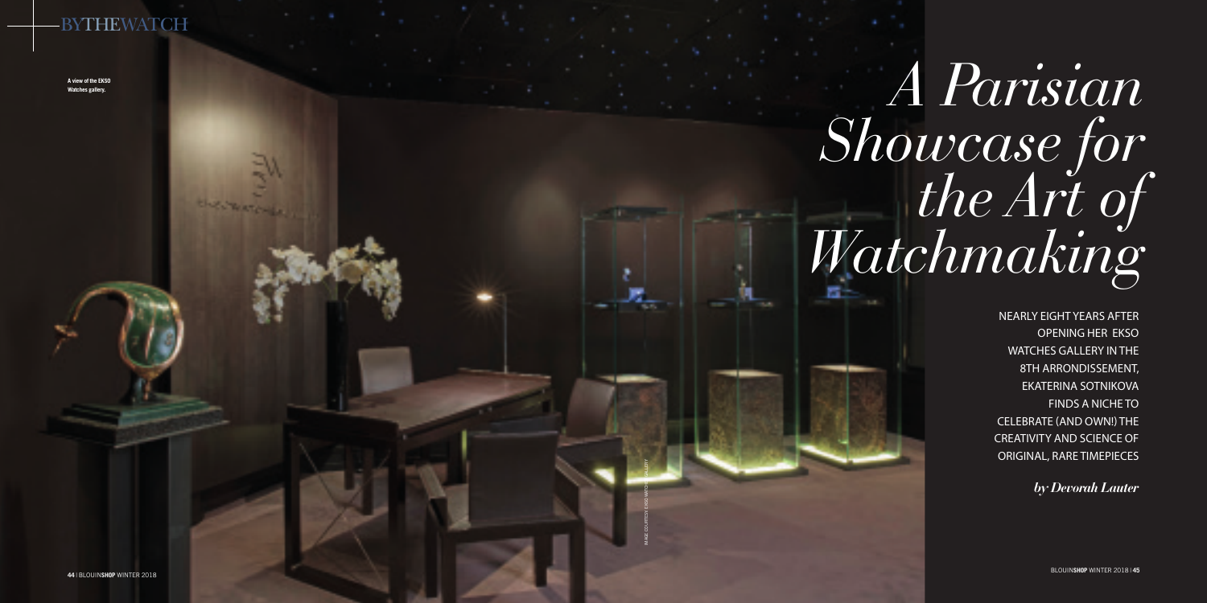NEARLY EIGHT YEARS AFTER OPENING HER EKSO WATCHES GALLERY IN THE 8TH ARRONDISSEMENT, EKATERINA SOTNIKOVA FINDS A NICHE TO CELEBRATE (AND OWN!) THE CREATIVITY AND SCIENCE OF ORIGINAL, RARE TIMEPIECES

*by Devorah Lauter*

# *A Parisian Showcase for the Art of Watchmaking*

IMAGE COURTESY: EKSO WATCHE GALLERY

# **BYTHEWATCH**

**A view of the EKSO Watches gallery.**

BLOUIN**SHOP** WINTER 2018 | **45**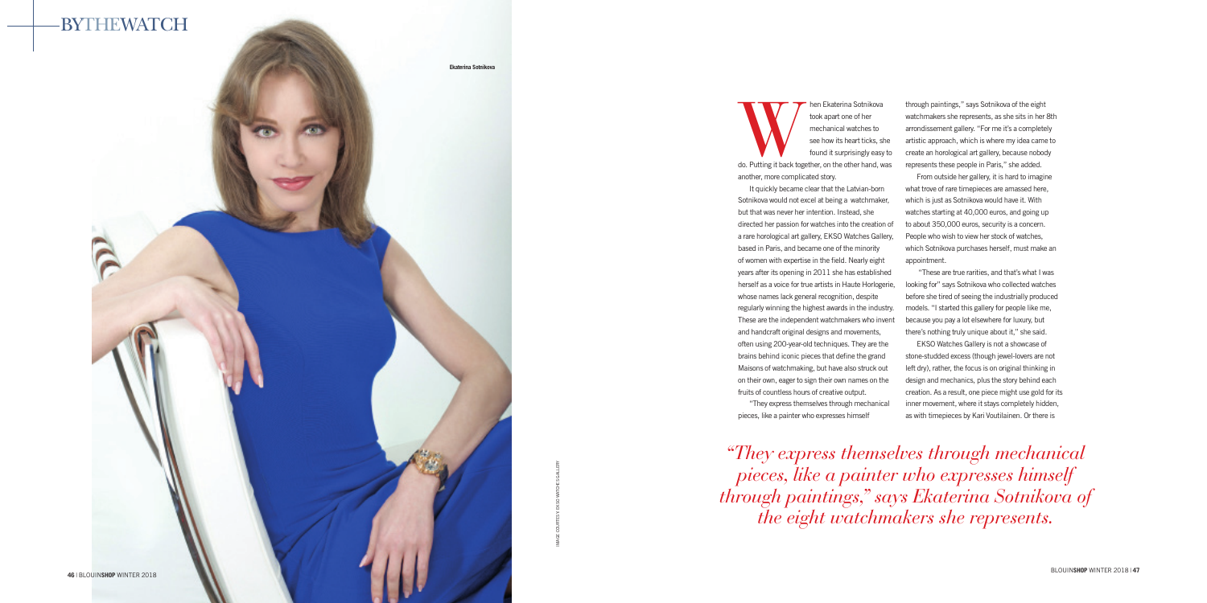IMAGE COURTESY: EKSO WATCHES GALLERY

Manuschen Ekaterina Sotnikova<br>
took apart one of her<br>
mechanical watches to<br>
see how its heart ticks, she<br>
found it surprisingly easy to<br>
do. Putting it back together, on the other hand, was took apart one of her mechanical watches to see how its heart ticks, she found it surprisingly easy to

another, more complicated story.

It quickly became clear that the Latvian-born Sotnikova would not excel at being a watchmaker, but that was never her intention. Instead, she directed her passion for watches into the creation of a rare horological art gallery, EKSO Watches Gallery, based in Paris, and became one of the minority of women with expertise in the field. Nearly eight years after its opening in 2011 she has established herself as a voice for true artists in Haute Horlogerie, whose names lack general recognition, despite regularly winning the highest awards in the industry. These are the independent watchmakers who invent and handcraft original designs and movements, often using 200-year-old techniques. They are the brains behind iconic pieces that define the grand Maisons of watchmaking, but have also struck out on their own, eager to sign their own names on the fruits of countless hours of creative output.

"They express themselves through mechanical pieces, like a painter who expresses himself

through paintings," says Sotnikova of the eight watchmakers she represents, as she sits in her 8th arrondissement gallery. "For me it's a completely artistic approach, which is where my idea came to create an horological art gallery, because nobody represents these people in Paris," she added.



From outside her gallery, it is hard to imagine what trove of rare timepieces are amassed here, which is just as Sotnikova would have it. With watches starting at 40,000 euros, and going up to about 350,000 euros, security is a concern. People who wish to view her stock of watches, which Sotnikova purchases herself, must make an appointment.

 "These are true rarities, and that's what I was looking for" says Sotnikova who collected watches before she tired of seeing the industrially produced models. "I started this gallery for people like me, because you pay a lot elsewhere for luxury, but there's nothing truly unique about it," she said.

EKSO Watches Gallery is not a showcase of stone-studded excess (though jewel-lovers are not left dry), rather, the focus is on original thinking in design and mechanics, plus the story behind each creation. As a result, one piece might use gold for its inner movement, where it stays completely hidden, as with timepieces by Kari Voutilainen. Or there is

*"They express themselves through mechanical pieces, like a painter who expresses himself through paintings," says Ekaterina Sotnikova of the eight watchmakers she represents.*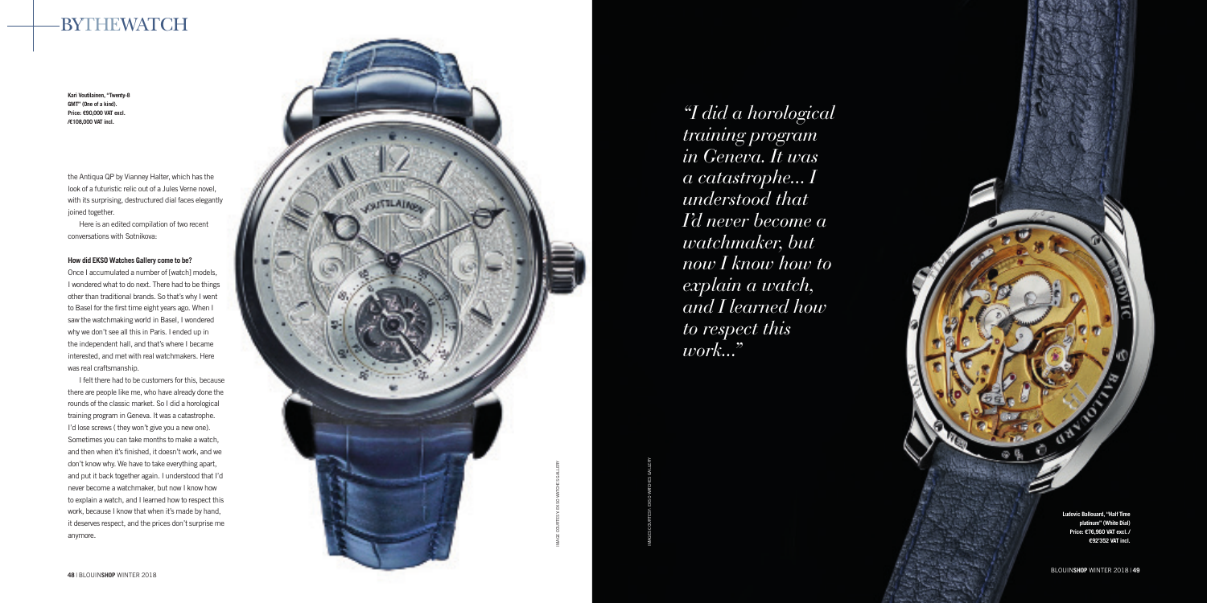# BYTHEWATCH



IMAGES COURTESY: EKSO WATCHES GALLERY

**Kari Voutilainen, "Twenty-8 GMT" (One of a kind). Price: €90,000 VAT excl. /€108,000 VAT incl.**

> **Ludovic Ballouard, "Half Time platinum" (White Dial) Price: €76,960 VAT excl. / €92'352 VAT incl.**

the Antiqua QP by Vianney Halter, which has the look of a futuristic relic out of a Jules Verne novel, with its surprising, destructured dial faces elegantly joined together.

Here is an edited compilation of two recent conversations with Sotnikova:

# **How did EKSO Watches Gallery come to be?**

Once I accumulated a number of [watch] models, I wondered what to do next. There had to be things other than traditional brands. So that's why I went to Basel for the first time eight years ago. When I saw the watchmaking world in Basel, I wondered why we don't see all this in Paris. I ended up in the independent hall, and that's where I became interested, and met with real watchmakers. Here was real craftsmanship.

I felt there had to be customers for this, because there are people like me, who have already done the rounds of the classic market. So I did a horological training program in Geneva. It was a catastrophe. I'd lose screws (they won't give you a new one). Sometimes you can take months to make a watch, and then when it's finished, it doesn't work, and we don't know why. We have to take everything apart, and put it back together again. I understood that I'd never become a watchmaker, but now I know how to explain a watch, and I learned how to respect this work, because I know that when it's made by hand, it deserves respect, and the prices don't surprise me anymore.

*"I did a horological training program in Geneva. It was a catastrophe... I understood that I'd never become a watchmaker, but now I know how to explain a watch, and I learned how to respect this* 

*work..."*

BLOUIN**SHOP** WINTER 2018 | **49**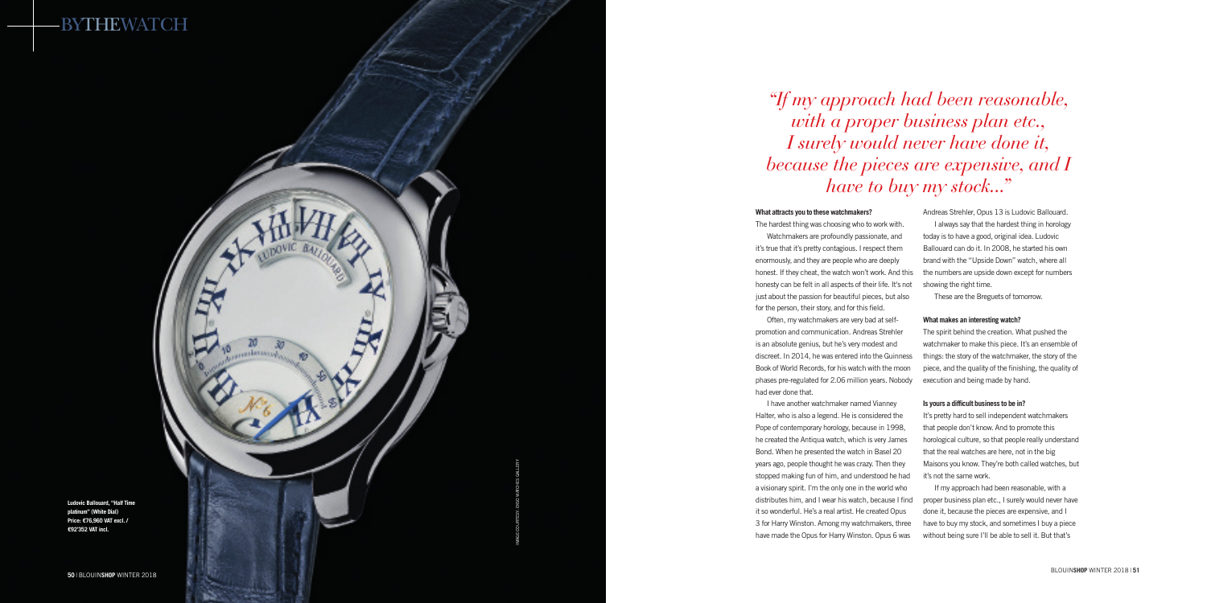### **What attracts you to these watchmakers?**

The hardest thing was choosing who to work with.

Watchmakers are profoundly passionate, and it's true that it's pretty contagious. I respect them enormously, and they are people who are deeply honest. If they cheat, the watch won't work. And this honesty can be felt in all aspects of their life. It's not just about the passion for beautiful pieces, but also for the person, their story, and for this field.

Often, my watchmakers are very bad at selfpromotion and communication. Andreas Strehler is an absolute genius, but he's very modest and discreet. In 2014, he was entered into the Guinness Book of World Records, for his watch with the moon phases pre-regulated for 2.06 million years. Nobody had ever done that.

I have another watchmaker named Vianney Halter, who is also a legend. He is considered the Pope of contemporary horology, because in 1998, he created the Antiqua watch, which is very James Bond. When he presented the watch in Basel 20 years ago, people thought he was crazy. Then they stopped making fun of him, and understood he had a visionary spirit. I'm the only one in the world who distributes him, and I wear his watch, because I find it so wonderful. He's a real artist. He created Opus 3 for Harry Winston. Among my watchmakers, three have made the Opus for Harry Winston. Opus 6 was

It's pretty hard to sell independent watchmakers that people don't know. And to promote this horological culture, so that people really understand that the real watches are here, not in the big Maisons you know. They're both called watches, but it's not the same work.

Andreas Strehler, Opus 13 is Ludovic Ballouard.



I always say that the hardest thing in horology today is to have a good, original idea. Ludovic Ballouard can do it. In 2008, he started his own brand with the "Upside Down" watch, where all the numbers are upside down except for numbers showing the right time.

These are the Breguets of tomorrow.

### **What makes an interesting watch?**

The spirit behind the creation. What pushed the watchmaker to make this piece. It's an ensemble of things: the story of the watchmaker, the story of the piece, and the quality of the finishing, the quality of execution and being made by hand.

### **Is yours a difficult business to be in?**

If my approach had been reasonable, with a proper business plan etc., I surely would never have done it, because the pieces are expensive, and I have to buy my stock, and sometimes I buy a piece without being sure I'll be able to sell it. But that's

*"If my approach had been reasonable, with a proper business plan etc., I surely would never have done it, because the pieces are expensive, and I have to buy my stock..."*